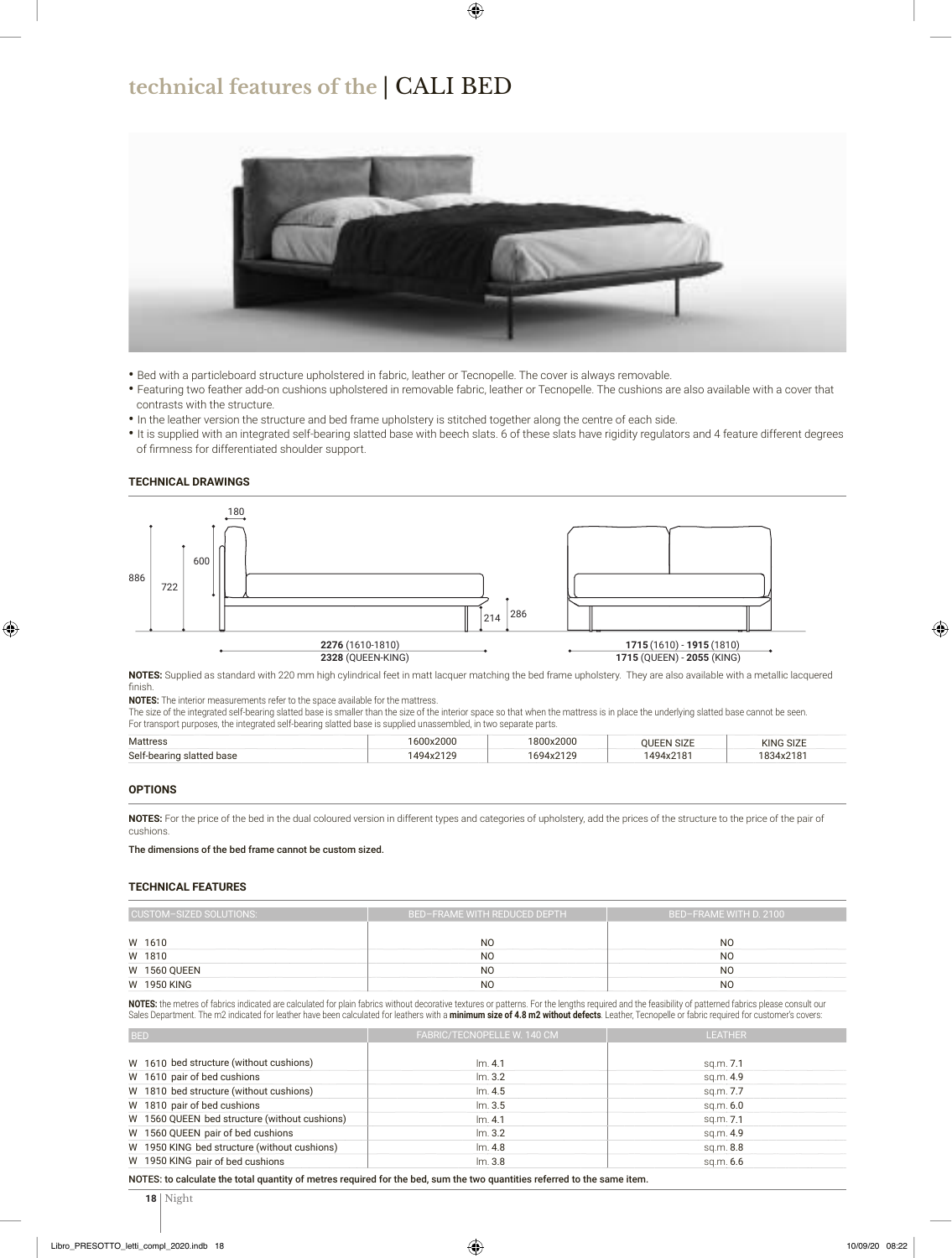## **technical features of the** | CALI BED



- Bed with a particleboard structure upholstered in fabric, leather or Tecnopelle. The cover is always removable.
- Featuring two feather add-on cushions upholstered in removable fabric, leather or Tecnopelle. The cushions are also available with a cover that contrasts with the structure.
- In the leather version the structure and bed frame upholstery is stitched together along the centre of each side.
- It is supplied with an integrated self-bearing slatted base with beech slats. 6 of these slats have rigidity regulators and 4 feature different degrees of firmness for differentiated shoulder support.

#### **TECHNICAL DRAWINGS**



**NOTES:** Supplied as standard with 220 mm high cylindrical feet in matt lacquer matching the bed frame upholstery. They are also available with a metallic lacquered finish.

**NOTES:** The interior measurements refer to the space available for the mattress.

The size of the integrated self-bearing slatted base is smaller than the size of the interior space so that when the mattress is in place the underlying slatted base cannot be seen. For transport purposes, the integrated self-bearing slatted base is supplied unassembled, in two separate parts.

| <b>Mattress</b>           | 1600x2000 | 1800x2000 | <b>OUEEN SIZE</b> | <b>KING SIZE</b> |  |
|---------------------------|-----------|-----------|-------------------|------------------|--|
| Self-bearing slatted base | 1494x2129 | 1694x2129 | 1494x2181         | 1834x2181        |  |

#### **OPTIONS**

**NOTES:** For the price of the bed in the dual coloured version in different types and categories of upholstery, add the prices of the structure to the price of the pair of cushions.

The dimensions of the bed frame cannot be custom sized.

#### **TECHNICAL FEATURES**

| CUSTOM-SIZED SOLUTIONS: | BED-FRAME WITH REDUCED DEPTH | BED-FRAME WITH D. 2100 |  |  |  |  |
|-------------------------|------------------------------|------------------------|--|--|--|--|
| W 1610                  | N <sub>O</sub>               | N <sub>O</sub>         |  |  |  |  |
|                         |                              |                        |  |  |  |  |
| W 1810                  | N <sub>O</sub>               | N <sub>O</sub>         |  |  |  |  |
| <b>W 1560 QUEEN</b>     | N <sub>O</sub>               | N <sub>O</sub>         |  |  |  |  |
| W 1950 KING             | N <sub>O</sub>               | N <sub>O</sub>         |  |  |  |  |

**NOTES:** the metres of fabrics indicated are calculated for plain fabrics without decorative textures or patterns. For the lengths required and the feasibility of patterned fabrics please consult our Sales Department. The m2 indicated for leather have been calculated for leathers with a minimum size of 4.8 m2 without defects. Leather, Tecnopelle or fabric required for customer's covers:

| <b>BED</b>                                    | FABRIC/TECNOPELLE W. 140 CM | <b>LEATHER</b> |  |  |  |
|-----------------------------------------------|-----------------------------|----------------|--|--|--|
| W 1610 bed structure (without cushions)       | Im. 4.1                     | sq.m. 7.1      |  |  |  |
| W 1610 pair of bed cushions                   | Im.3.2                      | sq.m. 4.9      |  |  |  |
| W 1810 bed structure (without cushions)       | Im.4.5                      | sq.m. 7.7      |  |  |  |
| W 1810 pair of bed cushions                   | Im.3.5                      | sq.m. 6.0      |  |  |  |
| W 1560 QUEEN bed structure (without cushions) | Im. 4.1                     | sq.m. 7.1      |  |  |  |
| W 1560 QUEEN pair of bed cushions             | Im.3.2                      | sq.m. 4.9      |  |  |  |
| W 1950 KING bed structure (without cushions)  | Im.4.8                      | sq.m. 8.8      |  |  |  |
| W 1950 KING pair of bed cushions              | Im.3.8                      | sq.m. 6.6      |  |  |  |

NOTES: to calculate the total quantity of metres required for the bed, sum the two quantities referred to the same item.